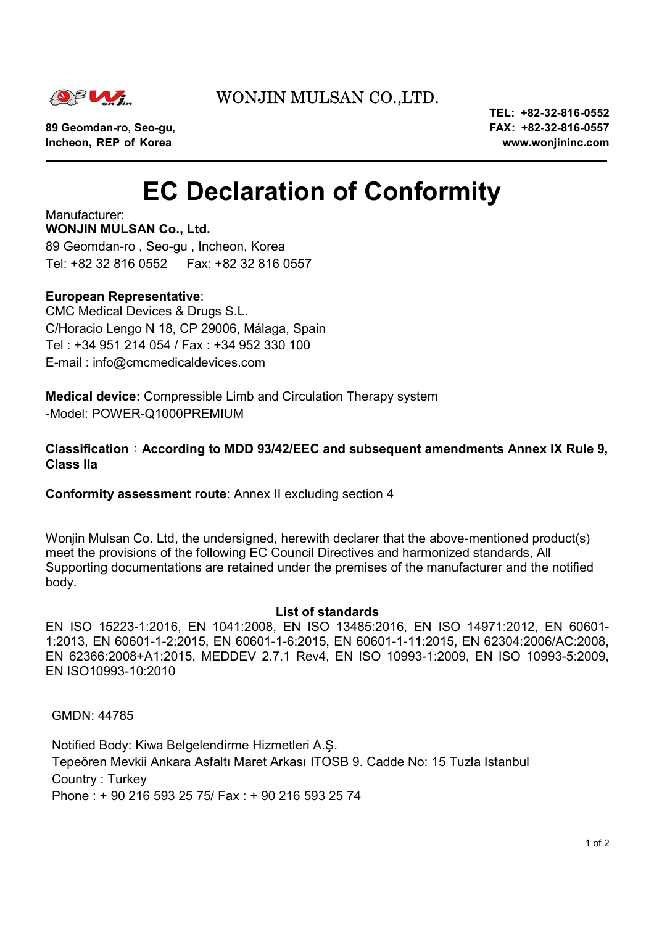

### WONJIN MULSAN CO.,LTD.

**Incheon, REP of Korea www.wonjininc.com** 

 **TEL: +82-32-816-0552 89 Geomdan-ro, Seo-gu, FAX: +82-32-816-0557** 

# **EC Declaration of Conformity**

Manufacturer: **WONJIN MULSAN Co., Ltd.**  89 Geomdan-ro , Seo-gu , Incheon, Korea Tel: +82 32 816 0552 Fax: +82 32 816 0557

#### **European Representative**:

CMC Medical Devices & Drugs S.L. C/Horacio Lengo N 18, CP 29006, Málaga, Spain Tel : +34 951 214 054 / Fax : +34 952 330 100 E-mail : info@cmcmedicaldevices.com

**Medical device:** Compressible Limb and Circulation Therapy system -Model: POWER-Q1000PREMIUM

#### **Classification**:**According to MDD 93/42/EEC and subsequent amendments Annex IX Rule 9, Class IIa**

**Conformity assessment route**: Annex II excluding section 4

Woniin Mulsan Co. Ltd, the undersigned, herewith declarer that the above-mentioned product(s) meet the provisions of the following EC Council Directives and harmonized standards, All Supporting documentations are retained under the premises of the manufacturer and the notified body.

#### **List of standards**

EN ISO 15223-1:2016, EN 1041:2008, EN ISO 13485:2016, EN ISO 14971:2012, EN 60601- 1:2013, EN 60601-1-2:2015, EN 60601-1-6:2015, EN 60601-1-11:2015, EN 62304:2006/AC:2008, EN 62366:2008+A1:2015, MEDDEV 2.7.1 Rev4, EN ISO 10993-1:2009, EN ISO 10993-5:2009, EN ISO10993-10:2010

GMDN: 44785

Notified Body: Kiwa Belgelendirme Hizmetleri A.Ş. Tepeören Mevkii Ankara Asfaltı Maret Arkası ITOSB 9. Cadde No: 15 Tuzla Istanbul Country : Turkey Phone : + 90 216 593 25 75/ Fax : + 90 216 593 25 74